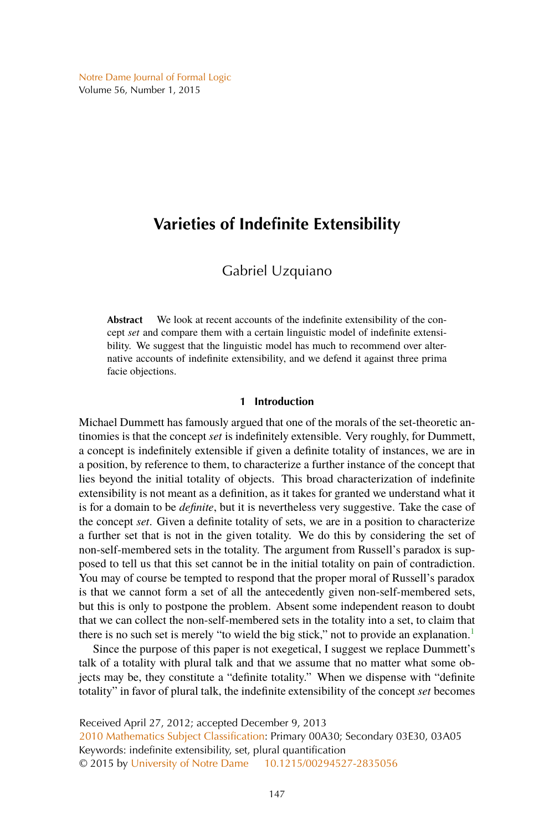# **Varieties of Indefinite Extensibility**

# Gabriel Uzquiano

**Abstract** We look at recent accounts of the indefinite extensibility of the concept *set* and compare them with a certain linguistic model of indefinite extensibility. We suggest that the linguistic model has much to recommend over alternative accounts of indefinite extensibility, and we defend it against three prima facie objections.

## **1 Introduction**

Michael Dummett has famously argued that one of the morals of the set-theoretic antinomies is that the concept *set* is indefinitely extensible. Very roughly, for Dummett, a concept is indefinitely extensible if given a definite totality of instances, we are in a position, by reference to them, to characterize a further instance of the concept that lies beyond the initial totality of objects. This broad characterization of indefinite extensibility is not meant as a definition, as it takes for granted we understand what it is for a domain to be *definite*, but it is nevertheless very suggestive. Take the case of the concept *set*. Given a definite totality of sets, we are in a position to characterize a further set that is not in the given totality. We do this by considering the set of non-self-membered sets in the totality. The argument from Russell's paradox is supposed to tell us that this set cannot be in the initial totality on pain of contradiction. You may of course be tempted to respond that the proper moral of Russell's paradox is that we cannot form a set of all the antecedently given non-self-membered sets, but this is only to postpone the problem. Absent some independent reason to doubt that we can collect the non-self-membered sets in the totality into a set, to claim that there is no such set is merely "to wield the big stick," not to provide an explanation.<sup>[1](#page-16-0)</sup>

Since the purpose of this paper is not exegetical, I suggest we replace Dummett's talk of a totality with plural talk and that we assume that no matter what some objects may be, they constitute a "definite totality." When we dispense with "definite totality" in favor of plural talk, the indefinite extensibility of the concept *set* becomes

Received April 27, 2012; accepted December 9, 2013 [2010 Mathematics Subject Classification:](http://www.ams.org/mathscinet/msc/msc2010.html) Primary 00A30; Secondary 03E30, 03A05 Keywords: indefinite extensibility, set, plural quantification © 2015 by [University of Notre Dame](http://www.nd.edu) [10.1215/00294527-2835056](http://dx.doi.org/10.1215/00294527-2835056)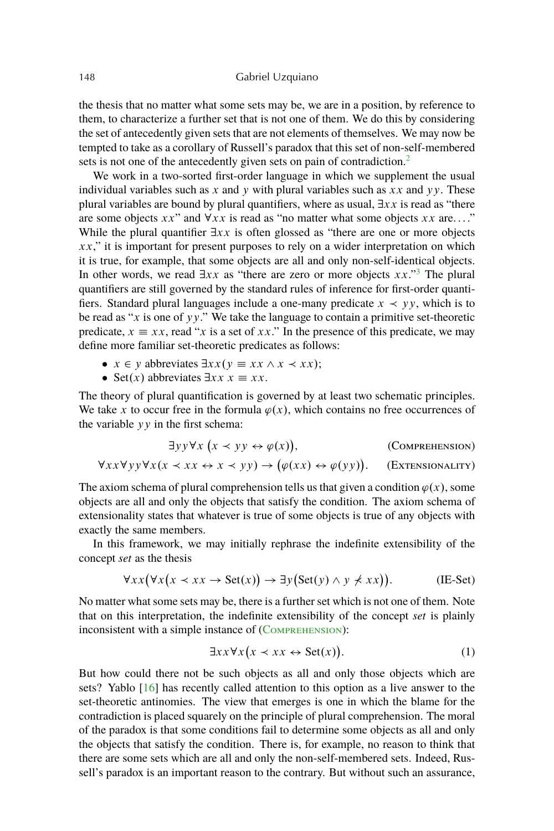<span id="page-1-0"></span>the thesis that no matter what some sets may be, we are in a position, by reference to them, to characterize a further set that is not one of them. We do this by considering the set of antecedently given sets that are not elements of themselves. We may now be tempted to take as a corollary of Russell's paradox that this set of non-self-membered sets is not one of the antecedently given sets on pain of contradiction.<sup>[2](#page-16-0)</sup>

We work in a two-sorted first-order language in which we supplement the usual individual variables such as x and y with plural variables such as  $xx$  and  $yy$ . These plural variables are bound by plural quantifiers, where as usual,  $\exists xx$  is read as "there are some objects  $xx$ " and  $\forall xx$  is read as "no matter what some objects  $xx$  are...." While the plural quantifier  $\exists xx$  is often glossed as "there are one or more objects"  $xx$ ," it is important for present purposes to rely on a wider interpretation on which it is true, for example, that some objects are all and only non-self-identical objects. In other words, we read  $\exists xx$  as "there are zero or more objects  $xx$ ."<sup>[3](#page-16-0)</sup> The plural quantifiers are still governed by the standard rules of inference for first-order quantifiers. Standard plural languages include a one-many predicate  $x \prec yy$ , which is to be read as "x is one of  $yy$ ." We take the language to contain a primitive set-theoretic predicate,  $x \equiv xx$ , read "x is a set of xx." In the presence of this predicate, we may define more familiar set-theoretic predicates as follows:

- $x \in y$  abbreviates  $\exists xx(y \equiv xx \land x \prec xx);$
- Set $(x)$  abbreviates  $\exists xx \; x \equiv xx$ .

The theory of plural quantification is governed by at least two schematic principles. We take x to occur free in the formula  $\varphi(x)$ , which contains no free occurrences of the variable  $yy$  in the first schema:

$$
\exists yy \forall x (x \prec yy \leftrightarrow \varphi(x)),
$$
 (COMPREHENSION)  

$$
\forall xx \forall yy \forall x (x \prec xx \leftrightarrow x \prec yy) \rightarrow (\varphi(xx) \leftrightarrow \varphi(yy)).
$$
 (EXTENSIONALITY)

The axiom schema of plural comprehension tells us that given a condition  $\varphi(x)$ , some objects are all and only the objects that satisfy the condition. The axiom schema of extensionality states that whatever is true of some objects is true of any objects with exactly the same members.

In this framework, we may initially rephrase the indefinite extensibility of the concept *set* as the thesis

$$
\forall xx (\forall x (x \prec xx \rightarrow Set(x)) \rightarrow \exists y (Set(y) \land y \not\prec xx)). \tag{IE-Set}
$$

No matter what some sets may be, there is a further set which is not one of them. Note that on this interpretation, the indefinite extensibility of the concept *set* is plainly inconsistent with a simple instance of (Comprehension):

$$
\exists xx \forall x \big(x \prec xx \leftrightarrow \text{Set}(x)\big). \tag{1}
$$

But how could there not be such objects as all and only those objects which are sets? Yablo [\[16\]](#page-19-0) has recently called attention to this option as a live answer to the set-theoretic antinomies. The view that emerges is one in which the blame for the contradiction is placed squarely on the principle of plural comprehension. The moral of the paradox is that some conditions fail to determine some objects as all and only the objects that satisfy the condition. There is, for example, no reason to think that there are some sets which are all and only the non-self-membered sets. Indeed, Russell's paradox is an important reason to the contrary. But without such an assurance,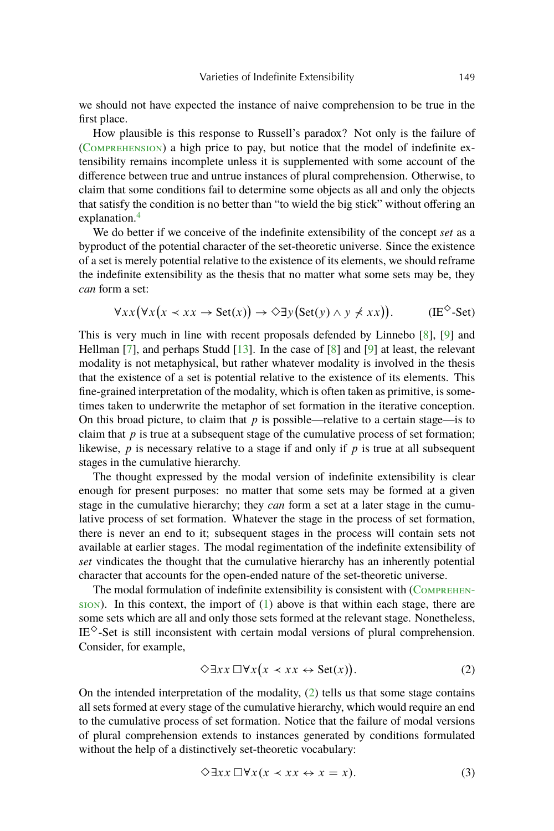<span id="page-2-0"></span>we should not have expected the instance of naive comprehension to be true in the first place.

How plausible is this response to Russell's paradox? Not only is the failure of [\(Comprehension\)](#page-1-0) a high price to pay, but notice that the model of indefinite extensibility remains incomplete unless it is supplemented with some account of the difference between true and untrue instances of plural comprehension. Otherwise, to claim that some conditions fail to determine some objects as all and only the objects that satisfy the condition is no better than "to wield the big stick" without offering an explanation.<sup>[4](#page-16-0)</sup>

We do better if we conceive of the indefinite extensibility of the concept *set* as a byproduct of the potential character of the set-theoretic universe. Since the existence of a set is merely potential relative to the existence of its elements, we should reframe the indefinite extensibility as the thesis that no matter what some sets may be, they *can* form a set:

$$
\forall xx (\forall x (x \prec xx \rightarrow Set(x)) \rightarrow \Diamond \exists y (Set(y) \land y \not\prec xx)). \qquad (IE^{\Diamond} - Set)
$$

This is very much in line with recent proposals defended by Linnebo [\[8\]](#page-18-0), [\[9\]](#page-18-0) and Hellman [\[7\]](#page-18-0), and perhaps Studd [\[13\]](#page-18-0). In the case of [\[8\]](#page-18-0) and [\[9\]](#page-18-0) at least, the relevant modality is not metaphysical, but rather whatever modality is involved in the thesis that the existence of a set is potential relative to the existence of its elements. This fine-grained interpretation of the modality, which is often taken as primitive, is sometimes taken to underwrite the metaphor of set formation in the iterative conception. On this broad picture, to claim that  $p$  is possible—relative to a certain stage—is to claim that  $p$  is true at a subsequent stage of the cumulative process of set formation; likewise,  $p$  is necessary relative to a stage if and only if  $p$  is true at all subsequent stages in the cumulative hierarchy.

The thought expressed by the modal version of indefinite extensibility is clear enough for present purposes: no matter that some sets may be formed at a given stage in the cumulative hierarchy; they *can* form a set at a later stage in the cumulative process of set formation. Whatever the stage in the process of set formation, there is never an end to it; subsequent stages in the process will contain sets not available at earlier stages. The modal regimentation of the indefinite extensibility of *set* vindicates the thought that the cumulative hierarchy has an inherently potential character that accounts for the open-ended nature of the set-theoretic universe.

The modal formulation of indefinite extensibility is consistent with (COMPREHEN[sion\)](#page-1-0). In this context, the import of [\(1\)](#page-1-0) above is that within each stage, there are some sets which are all and only those sets formed at the relevant stage. Nonetheless,  $IE^{\diamond}$ -Set is still inconsistent with certain modal versions of plural comprehension. Consider, for example,

$$
\Diamond \exists xx \, \Box \forall x \big( x \prec xx \leftrightarrow \text{Set}(x) \big). \tag{2}
$$

On the intended interpretation of the modality,  $(2)$  tells us that some stage contains all sets formed at every stage of the cumulative hierarchy, which would require an end to the cumulative process of set formation. Notice that the failure of modal versions of plural comprehension extends to instances generated by conditions formulated without the help of a distinctively set-theoretic vocabulary:

$$
\Diamond \exists xx \, \Box \forall x (x \prec xx \leftrightarrow x = x). \tag{3}
$$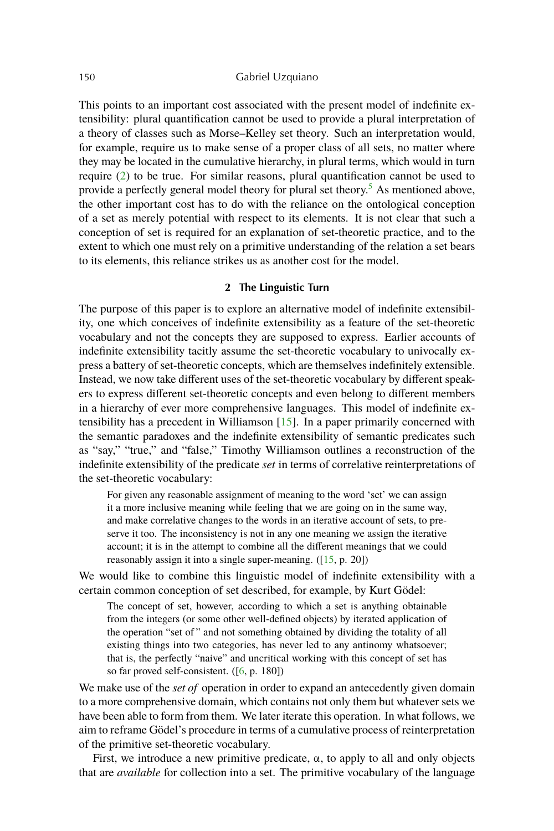<span id="page-3-0"></span>This points to an important cost associated with the present model of indefinite extensibility: plural quantification cannot be used to provide a plural interpretation of a theory of classes such as Morse–Kelley set theory. Such an interpretation would, for example, require us to make sense of a proper class of all sets, no matter where they may be located in the cumulative hierarchy, in plural terms, which would in turn require [\(2\)](#page-2-0) to be true. For similar reasons, plural quantification cannot be used to provide a perfectly general model theory for plural set theory.<sup>[5](#page-16-0)</sup> As mentioned above, the other important cost has to do with the reliance on the ontological conception of a set as merely potential with respect to its elements. It is not clear that such a conception of set is required for an explanation of set-theoretic practice, and to the extent to which one must rely on a primitive understanding of the relation a set bears to its elements, this reliance strikes us as another cost for the model.

#### **2 The Linguistic Turn**

The purpose of this paper is to explore an alternative model of indefinite extensibility, one which conceives of indefinite extensibility as a feature of the set-theoretic vocabulary and not the concepts they are supposed to express. Earlier accounts of indefinite extensibility tacitly assume the set-theoretic vocabulary to univocally express a battery of set-theoretic concepts, which are themselves indefinitely extensible. Instead, we now take different uses of the set-theoretic vocabulary by different speakers to express different set-theoretic concepts and even belong to different members in a hierarchy of ever more comprehensive languages. This model of indefinite extensibility has a precedent in Williamson [\[15\]](#page-19-0). In a paper primarily concerned with the semantic paradoxes and the indefinite extensibility of semantic predicates such as "say," "true," and "false," Timothy Williamson outlines a reconstruction of the indefinite extensibility of the predicate *set* in terms of correlative reinterpretations of the set-theoretic vocabulary:

For given any reasonable assignment of meaning to the word 'set' we can assign it a more inclusive meaning while feeling that we are going on in the same way, and make correlative changes to the words in an iterative account of sets, to preserve it too. The inconsistency is not in any one meaning we assign the iterative account; it is in the attempt to combine all the different meanings that we could reasonably assign it into a single super-meaning. ([\[15,](#page-19-0) p. 20])

We would like to combine this linguistic model of indefinite extensibility with a certain common conception of set described, for example, by Kurt Gödel:

The concept of set, however, according to which a set is anything obtainable from the integers (or some other well-defined objects) by iterated application of the operation "set of " and not something obtained by dividing the totality of all existing things into two categories, has never led to any antinomy whatsoever; that is, the perfectly "naive" and uncritical working with this concept of set has so far proved self-consistent. ([\[6,](#page-18-0) p. 180])

We make use of the *set of* operation in order to expand an antecedently given domain to a more comprehensive domain, which contains not only them but whatever sets we have been able to form from them. We later iterate this operation. In what follows, we aim to reframe Gödel's procedure in terms of a cumulative process of reinterpretation of the primitive set-theoretic vocabulary.

First, we introduce a new primitive predicate,  $\alpha$ , to apply to all and only objects that are *available* for collection into a set. The primitive vocabulary of the language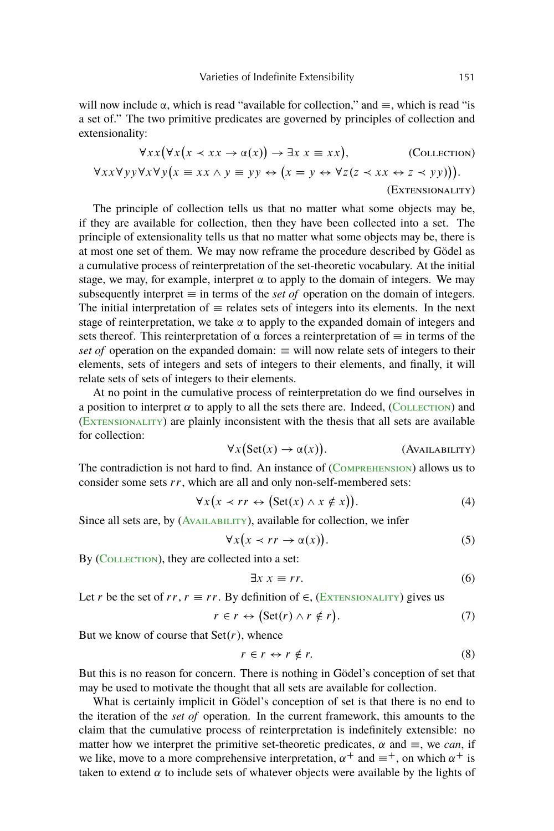<span id="page-4-0"></span>will now include  $\alpha$ , which is read "available for collection," and  $\equiv$ , which is read "is a set of." The two primitive predicates are governed by principles of collection and extensionality:

$$
\forall xx (\forall x (x \prec xx \rightarrow \alpha(x)) \rightarrow \exists x \ x \equiv xx), \qquad \text{(ColLECTION)}
$$
  

$$
\forall xx \forall yy \forall x \forall y (x \equiv xx \land y \equiv yy \leftrightarrow (x = y \leftrightarrow \forall z (z \prec xx \leftrightarrow z \prec yy))).
$$
  
(Exrensonality)  
(Exrensonality)

The principle of collection tells us that no matter what some objects may be, if they are available for collection, then they have been collected into a set. The principle of extensionality tells us that no matter what some objects may be, there is at most one set of them. We may now reframe the procedure described by Gödel as a cumulative process of reinterpretation of the set-theoretic vocabulary. At the initial stage, we may, for example, interpret  $\alpha$  to apply to the domain of integers. We may subsequently interpret  $\equiv$  in terms of the *set of* operation on the domain of integers. The initial interpretation of  $\equiv$  relates sets of integers into its elements. In the next stage of reinterpretation, we take  $\alpha$  to apply to the expanded domain of integers and sets thereof. This reinterpretation of  $\alpha$  forces a reinterpretation of  $\equiv$  in terms of the *set of* operation on the expanded domain:  $\equiv$  will now relate sets of integers to their elements, sets of integers and sets of integers to their elements, and finally, it will relate sets of sets of integers to their elements.

At no point in the cumulative process of reinterpretation do we find ourselves in a position to interpret  $\alpha$  to apply to all the sets there are. Indeed, (COLLECTION) and (Extensionality) are plainly inconsistent with the thesis that all sets are available for collection:

$$
\forall x (\text{Set}(x) \to \alpha(x)). \qquad (A \text{VAILABILITY})
$$

The contradiction is not hard to find. An instance of [\(Comprehension\)](#page-1-0) allows us to consider some sets rr, which are all and only non-self-membered sets:

$$
\forall x \big( x \prec rr \leftrightarrow (\text{Set}(x) \land x \notin x) \big). \tag{4}
$$

Since all sets are, by (AVAILABILITY), available for collection, we infer

$$
\forall x \big( x \prec rr \rightarrow \alpha(x) \big). \tag{5}
$$

By (COLLECTION), they are collected into a set:

$$
\exists x \; x \equiv rr. \tag{6}
$$

Let r be the set of  $rr$ ,  $r \equiv rr$ . By definition of  $\in$ , (EXTENSIONALITY) gives us

$$
r \in r \leftrightarrow (\text{Set}(r) \land r \notin r). \tag{7}
$$

But we know of course that  $Set(r)$ , whence

$$
r \in r \leftrightarrow r \notin r. \tag{8}
$$

But this is no reason for concern. There is nothing in Gödel's conception of set that may be used to motivate the thought that all sets are available for collection.

What is certainly implicit in Gödel's conception of set is that there is no end to the iteration of the *set of* operation. In the current framework, this amounts to the claim that the cumulative process of reinterpretation is indefinitely extensible: no matter how we interpret the primitive set-theoretic predicates,  $\alpha$  and  $\equiv$ , we *can*, if we like, move to a more comprehensive interpretation,  $\alpha^+$  and  $\equiv^+$ , on which  $\alpha^+$  is taken to extend  $\alpha$  to include sets of whatever objects were available by the lights of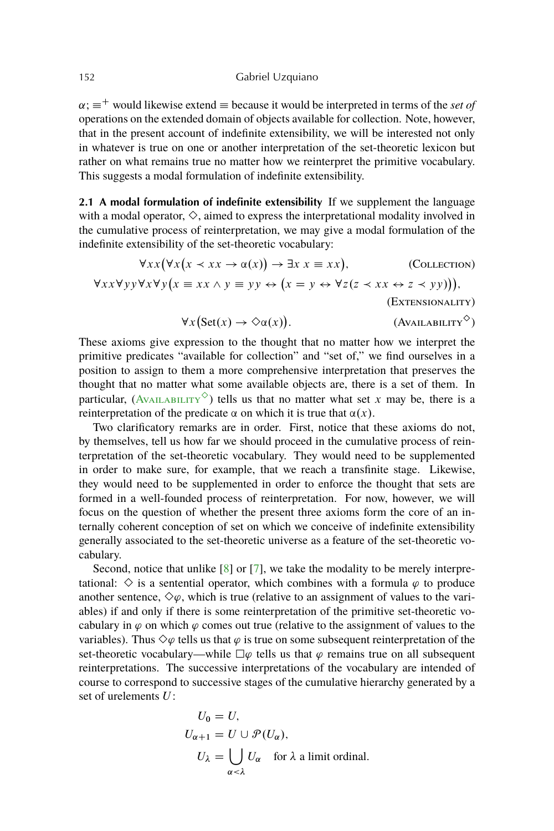<span id="page-5-0"></span> $\alpha$ ;  $\equiv$  + would likewise extend  $\equiv$  because it would be interpreted in terms of the *set of* operations on the extended domain of objects available for collection. Note, however, that in the present account of indefinite extensibility, we will be interested not only in whatever is true on one or another interpretation of the set-theoretic lexicon but rather on what remains true no matter how we reinterpret the primitive vocabulary. This suggests a modal formulation of indefinite extensibility.

**2.1 A modal formulation of indefinite extensibility** If we supplement the language with a modal operator,  $\Diamond$ , aimed to express the interpretational modality involved in the cumulative process of reinterpretation, we may give a modal formulation of the indefinite extensibility of the set-theoretic vocabulary:

$$
\forall xx (\forall x (x \prec xx \rightarrow \alpha(x)) \rightarrow \exists x \ x \equiv xx), \qquad \text{(COLECTION)}
$$
  

$$
\forall xx \forall yy \forall x \forall y (x \equiv xx \land y \equiv yy \leftrightarrow (x = y \leftrightarrow \forall z (z \prec xx \leftrightarrow z \prec yy))), \qquad \text{(Exrensionality)}
$$
  

$$
\forall x (\text{Set}(x) \rightarrow \Diamond \alpha(x)). \qquad \text{(Avallability)}
$$

These axioms give expression to the thought that no matter how we interpret the primitive predicates "available for collection" and "set of," we find ourselves in a position to assign to them a more comprehensive interpretation that preserves the thought that no matter what some available objects are, there is a set of them. In particular, (AVAILABILITY<sup> $\diamond$ </sup>) tells us that no matter what set x may be, there is a reinterpretation of the predicate  $\alpha$  on which it is true that  $\alpha(x)$ .

Two clarificatory remarks are in order. First, notice that these axioms do not, by themselves, tell us how far we should proceed in the cumulative process of reinterpretation of the set-theoretic vocabulary. They would need to be supplemented in order to make sure, for example, that we reach a transfinite stage. Likewise, they would need to be supplemented in order to enforce the thought that sets are formed in a well-founded process of reinterpretation. For now, however, we will focus on the question of whether the present three axioms form the core of an internally coherent conception of set on which we conceive of indefinite extensibility generally associated to the set-theoretic universe as a feature of the set-theoretic vocabulary.

Second, notice that unlike [\[8\]](#page-18-0) or [\[7\]](#page-18-0), we take the modality to be merely interpretational:  $\Diamond$  is a sentential operator, which combines with a formula  $\varphi$  to produce another sentence,  $\Diamond \varphi$ , which is true (relative to an assignment of values to the variables) if and only if there is some reinterpretation of the primitive set-theoretic vocabulary in  $\varphi$  on which  $\varphi$  comes out true (relative to the assignment of values to the variables). Thus  $\Diamond \varphi$  tells us that  $\varphi$  is true on some subsequent reinterpretation of the set-theoretic vocabulary—while  $\Box \varphi$  tells us that  $\varphi$  remains true on all subsequent reinterpretations. The successive interpretations of the vocabulary are intended of course to correspond to successive stages of the cumulative hierarchy generated by a set of urelements U:

$$
U_0 = U,
$$
  
\n
$$
U_{\alpha+1} = U \cup \mathcal{P}(U_{\alpha}),
$$
  
\n
$$
U_{\lambda} = \bigcup_{\alpha < \lambda} U_{\alpha} \text{ for } \lambda \text{ a limit ordinal.}
$$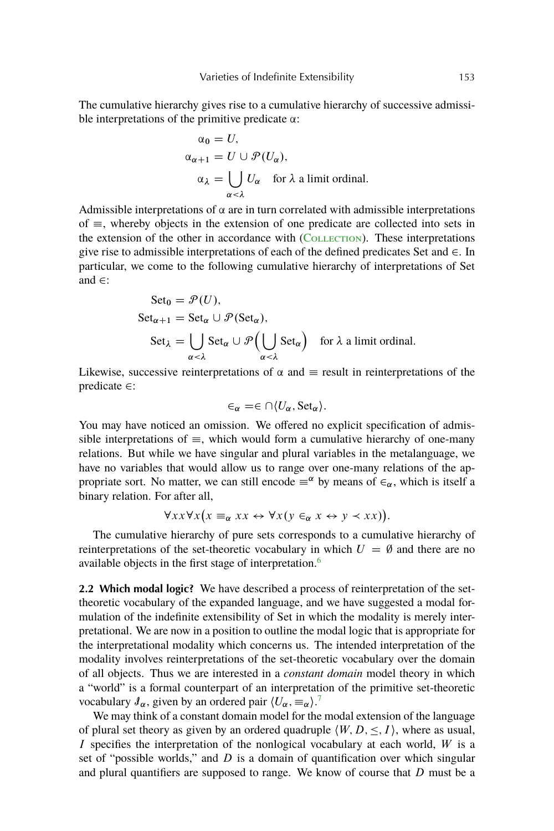The cumulative hierarchy gives rise to a cumulative hierarchy of successive admissible interpretations of the primitive predicate  $\alpha$ :

$$
\alpha_0 = U,
$$
  
\n
$$
\alpha_{\alpha+1} = U \cup \mathcal{P}(U_{\alpha}),
$$
  
\n
$$
\alpha_{\lambda} = \bigcup_{\alpha < \lambda} U_{\alpha} \quad \text{for } \lambda \text{ a limit ordinal.}
$$

Admissible interpretations of  $\alpha$  are in turn correlated with admissible interpretations of  $\equiv$ , whereby objects in the extension of one predicate are collected into sets in the extension of the other in accordance with (COLLECTION). These interpretations give rise to admissible interpretations of each of the defined predicates Set and  $\in$ . In particular, we come to the following cumulative hierarchy of interpretations of Set and  $\in$ :

$$
\begin{aligned}\n\text{Set}_0 &= \mathcal{P}(U), \\
\text{Set}_{\alpha+1} &= \text{Set}_{\alpha} \cup \mathcal{P}(\text{Set}_{\alpha}), \\
\text{Set}_{\lambda} &= \bigcup_{\alpha < \lambda} \text{Set}_{\alpha} \cup \mathcal{P}(\bigcup_{\alpha < \lambda} \text{Set}_{\alpha}) \quad \text{for } \lambda \text{ a limit ordinal.}\n\end{aligned}
$$

Likewise, successive reinterpretations of  $\alpha$  and  $\equiv$  result in reinterpretations of the predicate  $\in$ :

$$
\in_{\alpha} = \in \cap \langle U_{\alpha}, \operatorname{Set}_{\alpha} \rangle.
$$

You may have noticed an omission. We offered no explicit specification of admissible interpretations of  $\equiv$ , which would form a cumulative hierarchy of one-many relations. But while we have singular and plural variables in the metalanguage, we have no variables that would allow us to range over one-many relations of the appropriate sort. No matter, we can still encode  $\equiv^{\alpha}$  by means of  $\in_{\alpha}$ , which is itself a binary relation. For after all,

$$
\forall xx \forall x \big(x \equiv_{\alpha} xx \leftrightarrow \forall x \big(y \in_{\alpha} x \leftrightarrow y \prec xx\big)\big).
$$

The cumulative hierarchy of pure sets corresponds to a cumulative hierarchy of reinterpretations of the set-theoretic vocabulary in which  $U = \emptyset$  and there are no available objects in the first stage of interpretation.<sup>[6](#page-17-0)</sup>

**2.2 Which modal logic?** We have described a process of reinterpretation of the settheoretic vocabulary of the expanded language, and we have suggested a modal formulation of the indefinite extensibility of Set in which the modality is merely interpretational. We are now in a position to outline the modal logic that is appropriate for the interpretational modality which concerns us. The intended interpretation of the modality involves reinterpretations of the set-theoretic vocabulary over the domain of all objects. Thus we are interested in a *constant domain* model theory in which a "world" is a formal counterpart of an interpretation of the primitive set-theoretic vocabulary  $\ell_{\alpha}$ , given by an ordered pair  $\langle U_{\alpha}, \equiv_{\alpha} \rangle$ .

We may think of a constant domain model for the modal extension of the language of plural set theory as given by an ordered quadruple  $\langle W, D, \leq, I \rangle$ , where as usual, I specifies the interpretation of the nonlogical vocabulary at each world,  $W$  is a set of "possible worlds," and  $D$  is a domain of quantification over which singular and plural quantifiers are supposed to range. We know of course that  $D$  must be a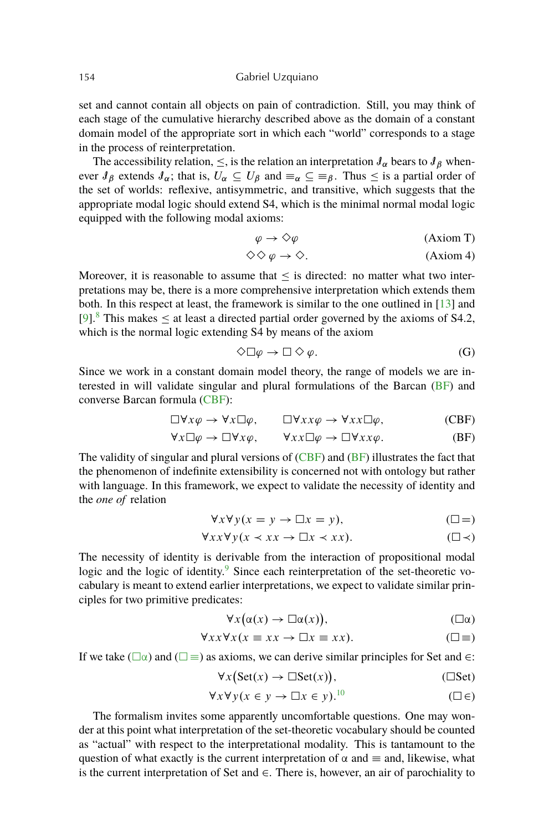<span id="page-7-0"></span>set and cannot contain all objects on pain of contradiction. Still, you may think of each stage of the cumulative hierarchy described above as the domain of a constant domain model of the appropriate sort in which each "world" corresponds to a stage in the process of reinterpretation.

The accessibility relation,  $\leq$ , is the relation an interpretation  $\mathcal{J}_{\alpha}$  bears to  $\mathcal{J}_{\beta}$  whenever  $\mathcal{J}_{\beta}$  extends  $\mathcal{J}_{\alpha}$ ; that is,  $U_{\alpha} \subseteq U_{\beta}$  and  $\equiv_{\alpha} \subseteq \equiv_{\beta}$ . Thus  $\leq$  is a partial order of the set of worlds: reflexive, antisymmetric, and transitive, which suggests that the appropriate modal logic should extend S4, which is the minimal normal modal logic equipped with the following modal axioms:

$$
\varphi \to \Diamond \varphi \qquad (Axiom T)
$$

$$
\diamondsuit \diamondsuit \varphi \to \diamondsuit. \tag{Axiom 4}
$$

Moreover, it is reasonable to assume that  $\leq$  is directed: no matter what two interpretations may be, there is a more comprehensive interpretation which extends them both. In this respect at least, the framework is similar to the one outlined in [\[13\]](#page-18-0) and [\[9\]](#page-18-0).<sup>[8](#page-17-0)</sup> This makes  $\leq$  at least a directed partial order governed by the axioms of S4.2, which is the normal logic extending S4 by means of the axiom

$$
\diamondsuit \Box \varphi \to \Box \diamondsuit \varphi. \tag{G}
$$

Since we work in a constant domain model theory, the range of models we are interested in will validate singular and plural formulations of the Barcan (BF) and converse Barcan formula (CBF):

$$
\Box \forall x \varphi \to \forall x \Box \varphi, \qquad \Box \forall x x \varphi \to \forall x x \Box \varphi, \qquad (CBF)
$$

$$
\forall x \Box \varphi \to \Box \forall x \varphi, \qquad \forall xx \Box \varphi \to \Box \forall xx \varphi. \tag{BF}
$$

The validity of singular and plural versions of (CBF) and (BF) illustrates the fact that the phenomenon of indefinite extensibility is concerned not with ontology but rather with language. In this framework, we expect to validate the necessity of identity and the *one of* relation

$$
\forall x \forall y (x = y \to \Box x = y), \qquad (\Box =)
$$

$$
\forall xx \forall y (x \prec xx \rightarrow \Box x \prec xx). \tag{ \Box \prec )}
$$

The necessity of identity is derivable from the interaction of propositional modal logic and the logic of identity. $9 \text{ Since each reinforcement of the set-theoretic vo-}$  $9 \text{ Since each reinforcement of the set-theoretic vo-}$ cabulary is meant to extend earlier interpretations, we expect to validate similar principles for two primitive predicates:

$$
\forall x \big( \alpha(x) \to \Box \alpha(x) \big), \tag{ } \Box \alpha)
$$

$$
\forall xx \forall x (x \equiv xx \rightarrow \Box x \equiv xx). \tag{}
$$

If we take ( $\Box \alpha$ ) and ( $\Box \equiv$ ) as axioms, we can derive similar principles for Set and  $\in$ :

$$
\forall x (\text{Set}(x) \to \Box \text{Set}(x)), \qquad (\Box \text{Set})
$$

$$
\forall x \forall y (x \in y \to \Box x \in y).^{10} \tag{}
$$

The formalism invites some apparently uncomfortable questions. One may wonder at this point what interpretation of the set-theoretic vocabulary should be counted as "actual" with respect to the interpretational modality. This is tantamount to the question of what exactly is the current interpretation of  $\alpha$  and  $\equiv$  and, likewise, what is the current interpretation of Set and  $\in$ . There is, however, an air of parochiality to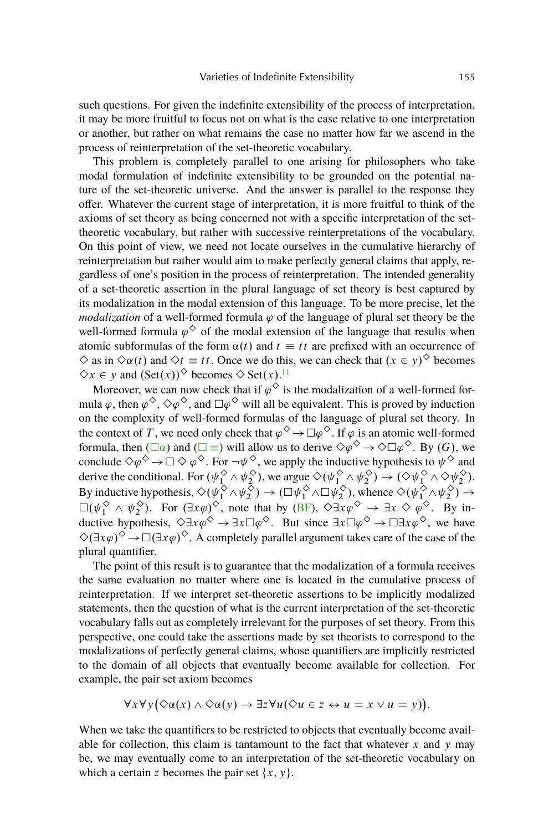such questions. For given the indefinite extensibility of the process of interpretation, it may be more fruitful to focus not on what is the case relative to one interpretation or another, but rather on what remains the case no matter how far we ascend in the process of reinterpretation of the set-theoretic vocabulary.

This problem is completely parallel to one arising for philosophers who take modal formulation of indefinite extensibility to be grounded on the potential nature of the set-theoretic universe. And the answer is parallel to the response they offer. Whatever the current stage of interpretation, it is more fruitful to think of the axioms of set theory as being concerned not with a specific interpretation of the settheoretic vocabulary, but rather with successive reinterpretations of the vocabulary. On this point of view, we need not locate ourselves in the cumulative hierarchy of reinterpretation but rather would aim to make perfectly general claims that apply, regardless of one's position in the process of reinterpretation. The intended generality of a set-theoretic assertion in the plural language of set theory is best captured by its modalization in the modal extension of this language. To be more precise, let the *modalization* of a well-formed formula  $\varphi$  of the language of plural set theory be the well-formed formula  $\varphi^{\diamondsuit}$  of the modal extension of the language that results when atomic subformulas of the form  $\alpha(t)$  and  $t \equiv tt$  are prefixed with an occurrence of  $\Diamond$  as in  $\Diamond$  $\alpha(t)$  and  $\Diamond t \equiv tt$ . Once we do this, we can check that  $(x \in y)$ <sup> $\diamond$ </sup> becomes  $\Diamond x \in y$  and  $(\text{Set}(x))^{\Diamond}$  becomes  $\Diamond$  Set $(x)$ .<sup>[11](#page-17-0)</sup>

Moreover, we can now check that if  $\varphi^{\diamondsuit}$  is the modalization of a well-formed formula  $\varphi$ , then  $\varphi^{\diamondsuit}, \diamondsuit \varphi^{\diamondsuit}$ , and  $\square \varphi^{\diamondsuit}$  will all be equivalent. This is proved by induction on the complexity of well-formed formulas of the language of plural set theory. In the context of T, we need only check that  $\varphi^{\diamond} \to \Box \varphi^{\diamond}$ . If  $\varphi$  is an atomic well-formed formula, then  $(\Box \alpha)$  and  $(\Box \equiv)$  will allow us to derive  $\Diamond \varphi^{\Diamond} \rightarrow \Diamond \Box \varphi^{\Diamond}$ . By  $(G)$ , we conclude  $\Diamond \varphi^{\Diamond} \to \Box \Diamond \varphi^{\Diamond}$ . For  $\neg \psi^{\Diamond}$ , we apply the inductive hypothesis to  $\psi^{\Diamond}$  and derive the conditional. For  $(\psi_1^{\diamondsuit} \wedge \psi_2^{\diamondsuit})$ , we argue  $\diamondsuit (\psi_1^{\diamondsuit} \wedge \psi_2^{\diamondsuit}) \rightarrow (\diamondsuit \psi_1^{\diamondsuit} \wedge \diamondsuit \psi_2^{\diamondsuit})$ . By inductive hypothesis,  $\Diamond(\psi_1^{\Diamond}\wedge\psi_2^{\Diamond})\rightarrow (\Box\psi_1^{\Diamond}\wedge\Box\psi_2^{\Diamond})$ , whence  $\Diamond(\psi_1^{\Diamond}\wedge\psi_2^{\Diamond})\rightarrow$  $\square(\psi_1^{\diamond}\wedge\psi_2^{\diamond})$ . For  $(\exists x \varphi)^{\diamond}$ , note that by  $(BF)$ ,  $\square \exists x \varphi^{\diamond} \rightarrow \exists x \diamond \varphi^{\diamond}$ . By inductive hypothesis,  $\Diamond \exists x \varphi^{\Diamond} \rightarrow \exists x \Box \varphi^{\Diamond}$ . But since  $\exists x \Box \varphi^{\Diamond} \rightarrow \Box \exists x \varphi^{\Diamond}$ , we have  $\Diamond(\exists x \varphi)$ <sup> $\diamond$ </sup>  $\rightarrow \Box(\exists x \varphi)$ <sup> $\diamond$ </sup>. A completely parallel argument takes care of the case of the plural quantifier.

The point of this result is to guarantee that the modalization of a formula receives the same evaluation no matter where one is located in the cumulative process of reinterpretation. If we interpret set-theoretic assertions to be implicitly modalized statements, then the question of what is the current interpretation of the set-theoretic vocabulary falls out as completely irrelevant for the purposes of set theory. From this perspective, one could take the assertions made by set theorists to correspond to the modalizations of perfectly general claims, whose quantifiers are implicitly restricted to the domain of all objects that eventually become available for collection. For example, the pair set axiom becomes

$$
\forall x \forall y (\Diamond \alpha(x) \land \Diamond \alpha(y) \rightarrow \exists z \forall u (\Diamond u \in z \leftrightarrow u = x \lor u = y)).
$$

When we take the quantifiers to be restricted to objects that eventually become available for collection, this claim is tantamount to the fact that whatever x and y may be, we may eventually come to an interpretation of the set-theoretic vocabulary on which a certain z becomes the pair set  $\{x, y\}$ .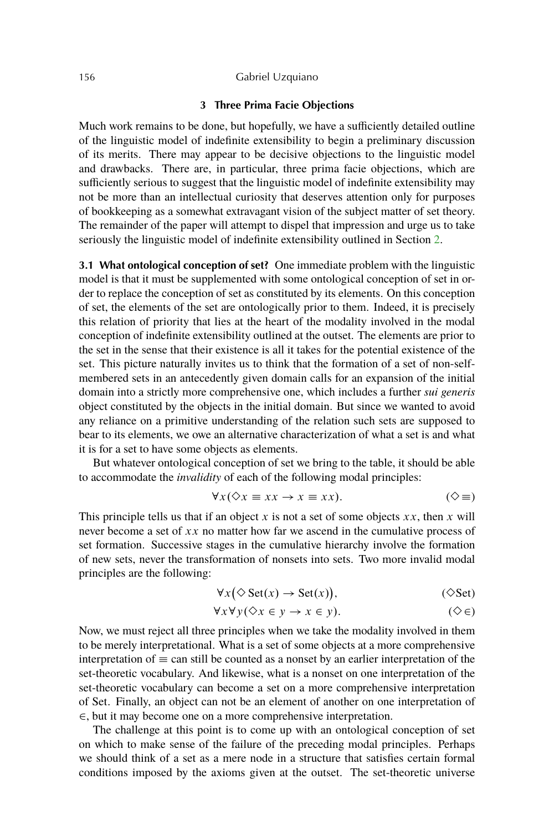#### **3 Three Prima Facie Objections**

Much work remains to be done, but hopefully, we have a sufficiently detailed outline of the linguistic model of indefinite extensibility to begin a preliminary discussion of its merits. There may appear to be decisive objections to the linguistic model and drawbacks. There are, in particular, three prima facie objections, which are sufficiently serious to suggest that the linguistic model of indefinite extensibility may not be more than an intellectual curiosity that deserves attention only for purposes of bookkeeping as a somewhat extravagant vision of the subject matter of set theory. The remainder of the paper will attempt to dispel that impression and urge us to take seriously the linguistic model of indefinite extensibility outlined in Section [2.](#page-3-0)

**3.1 What ontological conception of set?** One immediate problem with the linguistic model is that it must be supplemented with some ontological conception of set in order to replace the conception of set as constituted by its elements. On this conception of set, the elements of the set are ontologically prior to them. Indeed, it is precisely this relation of priority that lies at the heart of the modality involved in the modal conception of indefinite extensibility outlined at the outset. The elements are prior to the set in the sense that their existence is all it takes for the potential existence of the set. This picture naturally invites us to think that the formation of a set of non-selfmembered sets in an antecedently given domain calls for an expansion of the initial domain into a strictly more comprehensive one, which includes a further *sui generis* object constituted by the objects in the initial domain. But since we wanted to avoid any reliance on a primitive understanding of the relation such sets are supposed to bear to its elements, we owe an alternative characterization of what a set is and what it is for a set to have some objects as elements.

But whatever ontological conception of set we bring to the table, it should be able to accommodate the *invalidity* of each of the following modal principles:

$$
\forall x (\Diamond x \equiv xx \to x \equiv xx). \tag{ \Diamond \equiv )}
$$

This principle tells us that if an object x is not a set of some objects  $xx$ , then x will never become a set of  $xx$  no matter how far we ascend in the cumulative process of set formation. Successive stages in the cumulative hierarchy involve the formation of new sets, never the transformation of nonsets into sets. Two more invalid modal principles are the following:

$$
\forall x (\Diamond \operatorname{Set}(x) \to \operatorname{Set}(x)), \qquad (\Diamond \operatorname{Set})
$$

$$
\forall x \forall y (\Diamond x \in y \to x \in y). \tag{\diamond \in}
$$

Now, we must reject all three principles when we take the modality involved in them to be merely interpretational. What is a set of some objects at a more comprehensive interpretation of  $\equiv$  can still be counted as a nonset by an earlier interpretation of the set-theoretic vocabulary. And likewise, what is a nonset on one interpretation of the set-theoretic vocabulary can become a set on a more comprehensive interpretation of Set. Finally, an object can not be an element of another on one interpretation of  $\epsilon$ , but it may become one on a more comprehensive interpretation.

The challenge at this point is to come up with an ontological conception of set on which to make sense of the failure of the preceding modal principles. Perhaps we should think of a set as a mere node in a structure that satisfies certain formal conditions imposed by the axioms given at the outset. The set-theoretic universe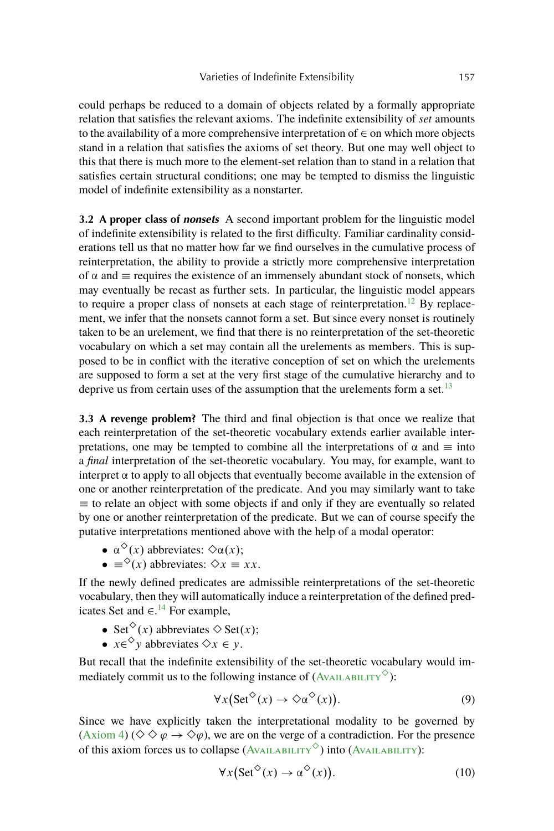could perhaps be reduced to a domain of objects related by a formally appropriate relation that satisfies the relevant axioms. The indefinite extensibility of *set* amounts to the availability of a more comprehensive interpretation of  $\in$  on which more objects stand in a relation that satisfies the axioms of set theory. But one may well object to this that there is much more to the element-set relation than to stand in a relation that satisfies certain structural conditions; one may be tempted to dismiss the linguistic model of indefinite extensibility as a nonstarter.

**3.2 A proper class of nonsets** A second important problem for the linguistic model of indefinite extensibility is related to the first difficulty. Familiar cardinality considerations tell us that no matter how far we find ourselves in the cumulative process of reinterpretation, the ability to provide a strictly more comprehensive interpretation of  $\alpha$  and  $\equiv$  requires the existence of an immensely abundant stock of nonsets, which may eventually be recast as further sets. In particular, the linguistic model appears to require a proper class of nonsets at each stage of reinterpretation.<sup>[12](#page-17-0)</sup> By replacement, we infer that the nonsets cannot form a set. But since every nonset is routinely taken to be an urelement, we find that there is no reinterpretation of the set-theoretic vocabulary on which a set may contain all the urelements as members. This is supposed to be in conflict with the iterative conception of set on which the urelements are supposed to form a set at the very first stage of the cumulative hierarchy and to deprive us from certain uses of the assumption that the urelements form a set.<sup>[13](#page-17-0)</sup>

**3.3 A revenge problem?** The third and final objection is that once we realize that each reinterpretation of the set-theoretic vocabulary extends earlier available interpretations, one may be tempted to combine all the interpretations of  $\alpha$  and  $\equiv$  into a *final* interpretation of the set-theoretic vocabulary. You may, for example, want to interpret  $\alpha$  to apply to all objects that eventually become available in the extension of one or another reinterpretation of the predicate. And you may similarly want to take  $\equiv$  to relate an object with some objects if and only if they are eventually so related by one or another reinterpretation of the predicate. But we can of course specify the putative interpretations mentioned above with the help of a modal operator:

- $\alpha^{\diamond}(x)$  abbreviates:  $\diamond \alpha(x)$ ;
- $\bullet \equiv^{\diamond}(x)$  abbreviates:  $\diamondsuit x \equiv x x$ .

If the newly defined predicates are admissible reinterpretations of the set-theoretic vocabulary, then they will automatically induce a reinterpretation of the defined predicates Set and  $\in$ .<sup>[14](#page-17-0)</sup> For example,

- Set $^{\diamond}(x)$  abbreviates  $\diamond$  Set $(x)$ :
- $x \in \{^\diamond}$ y abbreviates  $\diamond x \in y$ .

But recall that the indefinite extensibility of the set-theoretic vocabulary would immediately commit us to the following instance of  $(A_{\text{VALABILITY}}^{\diamondsuit})$ :

$$
\forall x (\operatorname{Set}^{\diamondsuit}(x) \to \diamondsuit \alpha^{\diamondsuit}(x)). \tag{9}
$$

Since we have explicitly taken the interpretational modality to be governed by [\(Axiom 4\)](#page-7-0) ( $\Diamond \Diamond \varphi \rightarrow \Diamond \varphi$ ), we are on the verge of a contradiction. For the presence of this axiom forces us to collapse  $(A_{\text{VAILABILITY}}^{\diamond})$  into  $(A_{\text{VAILABILITY}})$ :

$$
\forall x (\text{Set}^{\diamondsuit}(x) \to \alpha^{\diamondsuit}(x)). \tag{10}
$$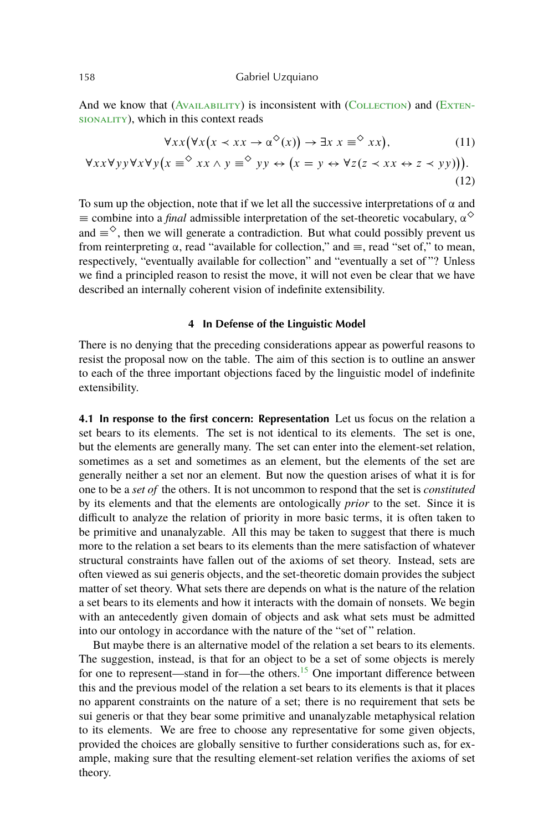And we know that (AVAILABILITY) is inconsistent with (COLLECTION) and (EXTEN[sionality\)](#page-4-0), which in this context reads

$$
\forall xx (\forall x (x \prec xx \rightarrow \alpha^{\diamondsuit}(x)) \rightarrow \exists x \ x \equiv^{\diamondsuit} xx), \tag{11}
$$

$$
\forall xx \forall yy \forall x \forall y (x \equiv^{\diamond} xx \land y \equiv^{\diamond} yy \leftrightarrow (x = y \leftrightarrow \forall z (z \prec xx \leftrightarrow z \prec yy))).
$$
\n(12)

To sum up the objection, note that if we let all the successive interpretations of  $\alpha$  and  $\equiv$  combine into a *final* admissible interpretation of the set-theoretic vocabulary,  $\alpha^{\diamond}$ and  $\equiv^{\diamond}$ , then we will generate a contradiction. But what could possibly prevent us from reinterpreting  $\alpha$ , read "available for collection," and  $\equiv$ , read "set of," to mean, respectively, "eventually available for collection" and "eventually a set of "? Unless we find a principled reason to resist the move, it will not even be clear that we have described an internally coherent vision of indefinite extensibility.

#### **4 In Defense of the Linguistic Model**

There is no denying that the preceding considerations appear as powerful reasons to resist the proposal now on the table. The aim of this section is to outline an answer to each of the three important objections faced by the linguistic model of indefinite extensibility.

**4.1 In response to the first concern: Representation** Let us focus on the relation a set bears to its elements. The set is not identical to its elements. The set is one, but the elements are generally many. The set can enter into the element-set relation, sometimes as a set and sometimes as an element, but the elements of the set are generally neither a set nor an element. But now the question arises of what it is for one to be a *set of* the others. It is not uncommon to respond that the set is *constituted* by its elements and that the elements are ontologically *prior* to the set. Since it is difficult to analyze the relation of priority in more basic terms, it is often taken to be primitive and unanalyzable. All this may be taken to suggest that there is much more to the relation a set bears to its elements than the mere satisfaction of whatever structural constraints have fallen out of the axioms of set theory. Instead, sets are often viewed as sui generis objects, and the set-theoretic domain provides the subject matter of set theory. What sets there are depends on what is the nature of the relation a set bears to its elements and how it interacts with the domain of nonsets. We begin with an antecedently given domain of objects and ask what sets must be admitted into our ontology in accordance with the nature of the "set of " relation.

But maybe there is an alternative model of the relation a set bears to its elements. The suggestion, instead, is that for an object to be a set of some objects is merely for one to represent—stand in for—the others.<sup>[15](#page-17-0)</sup> One important difference between this and the previous model of the relation a set bears to its elements is that it places no apparent constraints on the nature of a set; there is no requirement that sets be sui generis or that they bear some primitive and unanalyzable metaphysical relation to its elements. We are free to choose any representative for some given objects, provided the choices are globally sensitive to further considerations such as, for example, making sure that the resulting element-set relation verifies the axioms of set theory.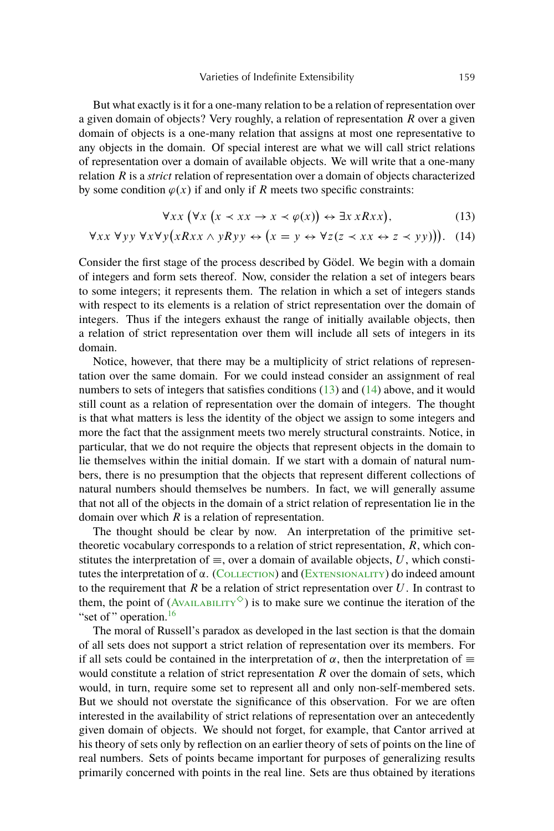But what exactly is it for a one-many relation to be a relation of representation over a given domain of objects? Very roughly, a relation of representation R over a given domain of objects is a one-many relation that assigns at most one representative to any objects in the domain. Of special interest are what we will call strict relations of representation over a domain of available objects. We will write that a one-many relation R is a *strict* relation of representation over a domain of objects characterized by some condition  $\varphi(x)$  if and only if R meets two specific constraints:

$$
\forall xx \ (\forall x \ (x \prec xx \rightarrow x \prec \varphi(x)) \leftrightarrow \exists x \ xRxx), \tag{13}
$$

$$
\forall xx \,\forall yy \,\forall x \forall y \big(xRxx \land yRyy \leftrightarrow \big(x = y \leftrightarrow \forall z (z \prec xx \leftrightarrow z \prec yy)\big)\big). \tag{14}
$$

Consider the first stage of the process described by Gödel. We begin with a domain of integers and form sets thereof. Now, consider the relation a set of integers bears to some integers; it represents them. The relation in which a set of integers stands with respect to its elements is a relation of strict representation over the domain of integers. Thus if the integers exhaust the range of initially available objects, then a relation of strict representation over them will include all sets of integers in its domain.

Notice, however, that there may be a multiplicity of strict relations of representation over the same domain. For we could instead consider an assignment of real numbers to sets of integers that satisfies conditions (13) and (14) above, and it would still count as a relation of representation over the domain of integers. The thought is that what matters is less the identity of the object we assign to some integers and more the fact that the assignment meets two merely structural constraints. Notice, in particular, that we do not require the objects that represent objects in the domain to lie themselves within the initial domain. If we start with a domain of natural numbers, there is no presumption that the objects that represent different collections of natural numbers should themselves be numbers. In fact, we will generally assume that not all of the objects in the domain of a strict relation of representation lie in the domain over which  $R$  is a relation of representation.

The thought should be clear by now. An interpretation of the primitive settheoretic vocabulary corresponds to a relation of strict representation, R, which constitutes the interpretation of  $\equiv$ , over a domain of available objects, U, which constitutes the interpretation of  $\alpha$ . (COLLECTION) and (EXTENSIONALITY) do indeed amount to the requirement that  $R$  be a relation of strict representation over  $U$ . In contrast to them, the point of  $(AVAILABILITY^{\diamond})$  is to make sure we continue the iteration of the "set of " operation. $16$ 

The moral of Russell's paradox as developed in the last section is that the domain of all sets does not support a strict relation of representation over its members. For if all sets could be contained in the interpretation of  $\alpha$ , then the interpretation of  $\equiv$ would constitute a relation of strict representation  $R$  over the domain of sets, which would, in turn, require some set to represent all and only non-self-membered sets. But we should not overstate the significance of this observation. For we are often interested in the availability of strict relations of representation over an antecedently given domain of objects. We should not forget, for example, that Cantor arrived at his theory of sets only by reflection on an earlier theory of sets of points on the line of real numbers. Sets of points became important for purposes of generalizing results primarily concerned with points in the real line. Sets are thus obtained by iterations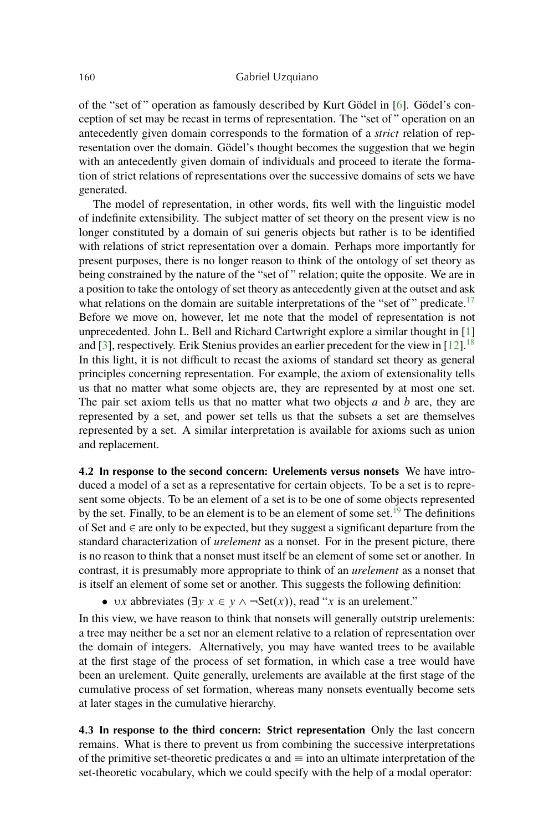<span id="page-13-0"></span>of the "set of " operation as famously described by Kurt Gödel in [\[6\]](#page-18-0). Gödel's conception of set may be recast in terms of representation. The "set of " operation on an antecedently given domain corresponds to the formation of a *strict* relation of representation over the domain. Gödel's thought becomes the suggestion that we begin with an antecedently given domain of individuals and proceed to iterate the formation of strict relations of representations over the successive domains of sets we have generated.

The model of representation, in other words, fits well with the linguistic model of indefinite extensibility. The subject matter of set theory on the present view is no longer constituted by a domain of sui generis objects but rather is to be identified with relations of strict representation over a domain. Perhaps more importantly for present purposes, there is no longer reason to think of the ontology of set theory as being constrained by the nature of the "set of " relation; quite the opposite. We are in a position to take the ontology of set theory as antecedently given at the outset and ask what relations on the domain are suitable interpretations of the "set of" predicate.<sup>[17](#page-17-0)</sup> Before we move on, however, let me note that the model of representation is not unprecedented. John L. Bell and Richard Cartwright explore a similar thought in [\[1\]](#page-18-0) and [\[3\]](#page-18-0), respectively. Erik Stenius provides an earlier precedent for the view in  $[12]$ .<sup>[18](#page-17-0)</sup> In this light, it is not difficult to recast the axioms of standard set theory as general principles concerning representation. For example, the axiom of extensionality tells us that no matter what some objects are, they are represented by at most one set. The pair set axiom tells us that no matter what two objects  $a$  and  $b$  are, they are represented by a set, and power set tells us that the subsets a set are themselves represented by a set. A similar interpretation is available for axioms such as union and replacement.

**4.2 In response to the second concern: Urelements versus nonsets** We have introduced a model of a set as a representative for certain objects. To be a set is to represent some objects. To be an element of a set is to be one of some objects represented by the set. Finally, to be an element is to be an element of some set.<sup>[19](#page-18-0)</sup> The definitions of Set and  $\in$  are only to be expected, but they suggest a significant departure from the standard characterization of *urelement* as a nonset. For in the present picture, there is no reason to think that a nonset must itself be an element of some set or another. In contrast, it is presumably more appropriate to think of an *urelement* as a nonset that is itself an element of some set or another. This suggests the following definition:

• vx abbreviates  $(\exists y \ x \in y \land \neg Set(x))$ , read "x is an urelement."

In this view, we have reason to think that nonsets will generally outstrip urelements: a tree may neither be a set nor an element relative to a relation of representation over the domain of integers. Alternatively, you may have wanted trees to be available at the first stage of the process of set formation, in which case a tree would have been an urelement. Quite generally, urelements are available at the first stage of the cumulative process of set formation, whereas many nonsets eventually become sets at later stages in the cumulative hierarchy.

**4.3 In response to the third concern: Strict representation** Only the last concern remains. What is there to prevent us from combining the successive interpretations of the primitive set-theoretic predicates  $\alpha$  and  $\equiv$  into an ultimate interpretation of the set-theoretic vocabulary, which we could specify with the help of a modal operator: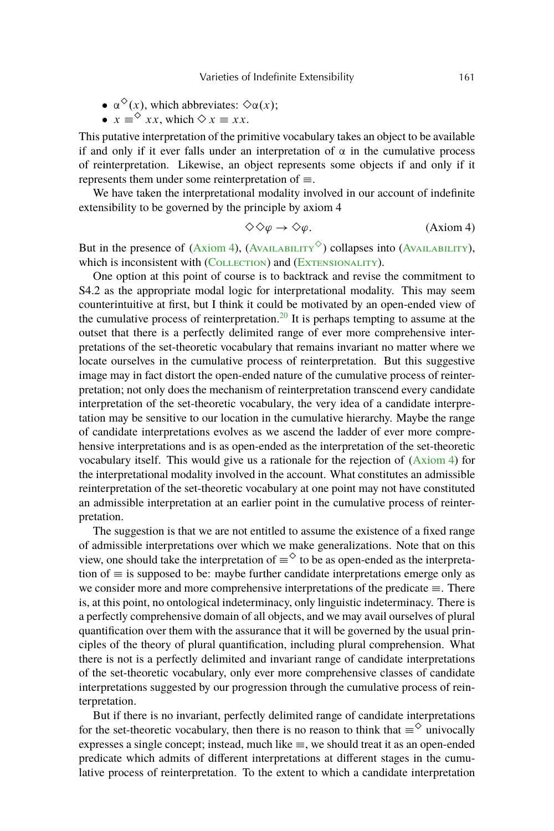- $\alpha^{\diamond}(x)$ , which abbreviates:  $\diamond \alpha(x)$ ;
- $x \equiv^{\diamond} xx$ , which  $\diamond x \equiv xx$ .

This putative interpretation of the primitive vocabulary takes an object to be available if and only if it ever falls under an interpretation of  $\alpha$  in the cumulative process of reinterpretation. Likewise, an object represents some objects if and only if it represents them under some reinterpretation of  $\equiv$ .

We have taken the interpretational modality involved in our account of indefinite extensibility to be governed by the principle by axiom 4

$$
\diamondsuit \diamondsuit \varphi \to \diamondsuit \varphi. \tag{Axiom 4}
$$

But in the presence of (Axiom 4), (AVAILABILITY<sup> $\diamond$ </sup>) collapses into (AVAILABILITY), which is inconsistent with (COLLECTION) and (EXTENSIONALITY).

One option at this point of course is to backtrack and revise the commitment to S4.2 as the appropriate modal logic for interpretational modality. This may seem counterintuitive at first, but I think it could be motivated by an open-ended view of the cumulative process of reinterpretation.<sup>[20](#page-18-0)</sup> It is perhaps tempting to assume at the outset that there is a perfectly delimited range of ever more comprehensive interpretations of the set-theoretic vocabulary that remains invariant no matter where we locate ourselves in the cumulative process of reinterpretation. But this suggestive image may in fact distort the open-ended nature of the cumulative process of reinterpretation; not only does the mechanism of reinterpretation transcend every candidate interpretation of the set-theoretic vocabulary, the very idea of a candidate interpretation may be sensitive to our location in the cumulative hierarchy. Maybe the range of candidate interpretations evolves as we ascend the ladder of ever more comprehensive interpretations and is as open-ended as the interpretation of the set-theoretic vocabulary itself. This would give us a rationale for the rejection of (Axiom 4) for the interpretational modality involved in the account. What constitutes an admissible reinterpretation of the set-theoretic vocabulary at one point may not have constituted an admissible interpretation at an earlier point in the cumulative process of reinterpretation.

The suggestion is that we are not entitled to assume the existence of a fixed range of admissible interpretations over which we make generalizations. Note that on this view, one should take the interpretation of  $\equiv^{\diamond}$  to be as open-ended as the interpretation of  $\equiv$  is supposed to be: maybe further candidate interpretations emerge only as we consider more and more comprehensive interpretations of the predicate  $\equiv$ . There is, at this point, no ontological indeterminacy, only linguistic indeterminacy. There is a perfectly comprehensive domain of all objects, and we may avail ourselves of plural quantification over them with the assurance that it will be governed by the usual principles of the theory of plural quantification, including plural comprehension. What there is not is a perfectly delimited and invariant range of candidate interpretations of the set-theoretic vocabulary, only ever more comprehensive classes of candidate interpretations suggested by our progression through the cumulative process of reinterpretation.

But if there is no invariant, perfectly delimited range of candidate interpretations for the set-theoretic vocabulary, then there is no reason to think that  $\equiv^{\diamond}$  univocally expresses a single concept; instead, much like  $\equiv$ , we should treat it as an open-ended predicate which admits of different interpretations at different stages in the cumulative process of reinterpretation. To the extent to which a candidate interpretation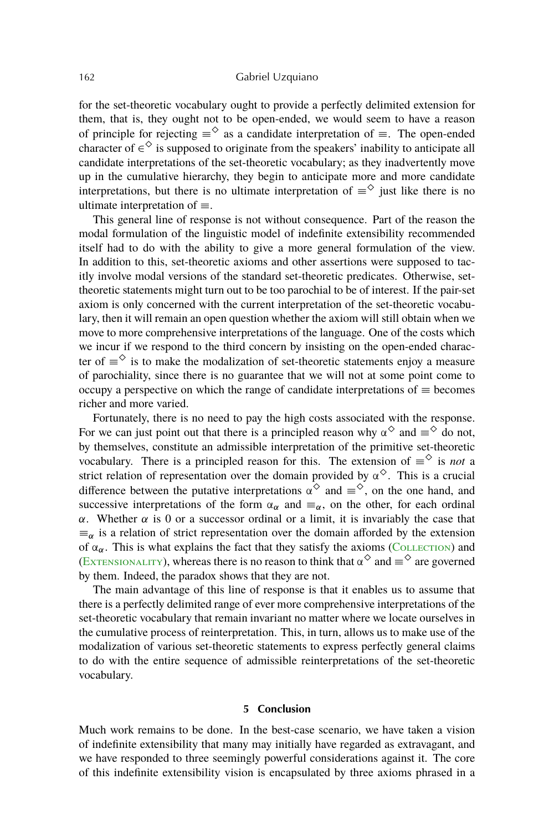for the set-theoretic vocabulary ought to provide a perfectly delimited extension for them, that is, they ought not to be open-ended, we would seem to have a reason of principle for rejecting  $\equiv^{\diamond}$  as a candidate interpretation of  $\equiv$ . The open-ended character of  $\infty$  is supposed to originate from the speakers' inability to anticipate all candidate interpretations of the set-theoretic vocabulary; as they inadvertently move up in the cumulative hierarchy, they begin to anticipate more and more candidate interpretations, but there is no ultimate interpretation of  $\equiv^{\diamond}$  just like there is no ultimate interpretation of  $\equiv$ .

This general line of response is not without consequence. Part of the reason the modal formulation of the linguistic model of indefinite extensibility recommended itself had to do with the ability to give a more general formulation of the view. In addition to this, set-theoretic axioms and other assertions were supposed to tacitly involve modal versions of the standard set-theoretic predicates. Otherwise, settheoretic statements might turn out to be too parochial to be of interest. If the pair-set axiom is only concerned with the current interpretation of the set-theoretic vocabulary, then it will remain an open question whether the axiom will still obtain when we move to more comprehensive interpretations of the language. One of the costs which we incur if we respond to the third concern by insisting on the open-ended character of  $\equiv^{\diamond}$  is to make the modalization of set-theoretic statements enjoy a measure of parochiality, since there is no guarantee that we will not at some point come to occupy a perspective on which the range of candidate interpretations of  $\equiv$  becomes richer and more varied.

Fortunately, there is no need to pay the high costs associated with the response. For we can just point out that there is a principled reason why  $\alpha^{\diamond}$  and  $\equiv^{\diamond}$  do not, by themselves, constitute an admissible interpretation of the primitive set-theoretic vocabulary. There is a principled reason for this. The extension of  $\equiv^{\diamond}$  is *not* a strict relation of representation over the domain provided by  $\alpha^{\diamond}$ . This is a crucial difference between the putative interpretations  $\alpha^{\diamond}$  and  $\equiv^{\diamond}$ , on the one hand, and successive interpretations of the form  $\alpha_{\alpha}$  and  $\equiv_{\alpha}$ , on the other, for each ordinal  $\alpha$ . Whether  $\alpha$  is 0 or a successor ordinal or a limit, it is invariably the case that  $\equiv_{\alpha}$  is a relation of strict representation over the domain afforded by the extension of  $\alpha_{\alpha}$ . This is what explains the fact that they satisfy the axioms (COLLECTION) and (EXTENSIONALITY), whereas there is no reason to think that  $\alpha^{\diamond}$  and  $\equiv^{\diamond}$  are governed by them. Indeed, the paradox shows that they are not.

The main advantage of this line of response is that it enables us to assume that there is a perfectly delimited range of ever more comprehensive interpretations of the set-theoretic vocabulary that remain invariant no matter where we locate ourselves in the cumulative process of reinterpretation. This, in turn, allows us to make use of the modalization of various set-theoretic statements to express perfectly general claims to do with the entire sequence of admissible reinterpretations of the set-theoretic vocabulary.

## **5 Conclusion**

Much work remains to be done. In the best-case scenario, we have taken a vision of indefinite extensibility that many may initially have regarded as extravagant, and we have responded to three seemingly powerful considerations against it. The core of this indefinite extensibility vision is encapsulated by three axioms phrased in a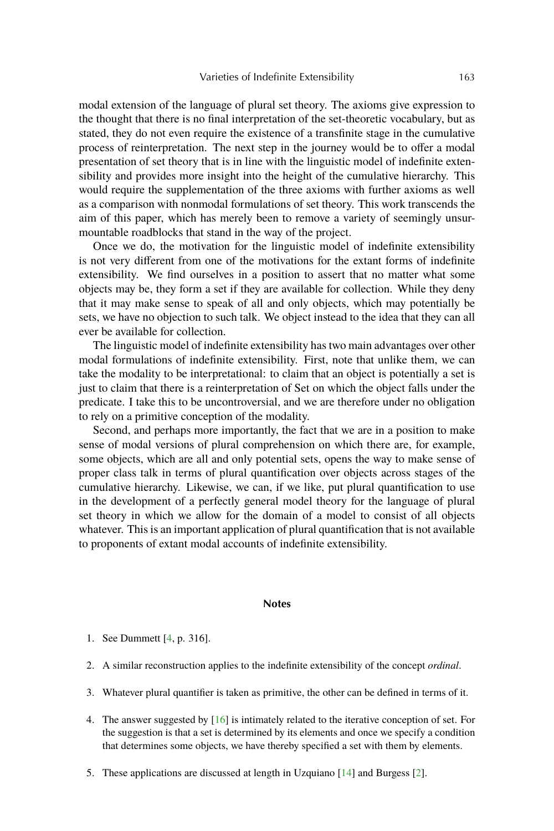<span id="page-16-0"></span>modal extension of the language of plural set theory. The axioms give expression to the thought that there is no final interpretation of the set-theoretic vocabulary, but as stated, they do not even require the existence of a transfinite stage in the cumulative process of reinterpretation. The next step in the journey would be to offer a modal presentation of set theory that is in line with the linguistic model of indefinite extensibility and provides more insight into the height of the cumulative hierarchy. This would require the supplementation of the three axioms with further axioms as well as a comparison with nonmodal formulations of set theory. This work transcends the aim of this paper, which has merely been to remove a variety of seemingly unsurmountable roadblocks that stand in the way of the project.

Once we do, the motivation for the linguistic model of indefinite extensibility is not very different from one of the motivations for the extant forms of indefinite extensibility. We find ourselves in a position to assert that no matter what some objects may be, they form a set if they are available for collection. While they deny that it may make sense to speak of all and only objects, which may potentially be sets, we have no objection to such talk. We object instead to the idea that they can all ever be available for collection.

The linguistic model of indefinite extensibility has two main advantages over other modal formulations of indefinite extensibility. First, note that unlike them, we can take the modality to be interpretational: to claim that an object is potentially a set is just to claim that there is a reinterpretation of Set on which the object falls under the predicate. I take this to be uncontroversial, and we are therefore under no obligation to rely on a primitive conception of the modality.

Second, and perhaps more importantly, the fact that we are in a position to make sense of modal versions of plural comprehension on which there are, for example, some objects, which are all and only potential sets, opens the way to make sense of proper class talk in terms of plural quantification over objects across stages of the cumulative hierarchy. Likewise, we can, if we like, put plural quantification to use in the development of a perfectly general model theory for the language of plural set theory in which we allow for the domain of a model to consist of all objects whatever. This is an important application of plural quantification that is not available to proponents of extant modal accounts of indefinite extensibility.

#### **Notes**

- 1. See Dummett [\[4,](#page-18-0) p. 316].
- 2. A similar reconstruction applies to the indefinite extensibility of the concept *ordinal*.
- 3. Whatever plural quantifier is taken as primitive, the other can be defined in terms of it.
- 4. The answer suggested by [\[16\]](#page-19-0) is intimately related to the iterative conception of set. For the suggestion is that a set is determined by its elements and once we specify a condition that determines some objects, we have thereby specified a set with them by elements.
- 5. These applications are discussed at length in Uzquiano [\[14\]](#page-18-0) and Burgess [\[2\]](#page-18-0).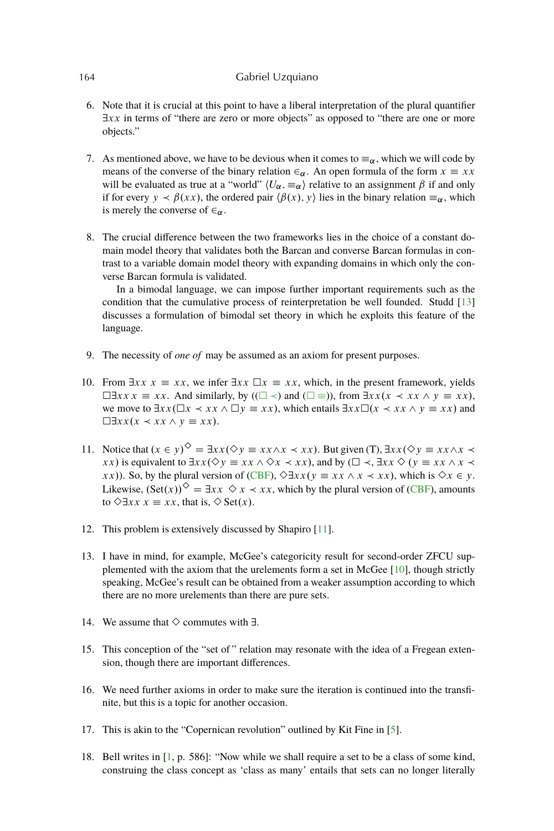- 6. Note that it is crucial at this point to have a liberal interpretation of the plural quantifier  $\exists xx$  in terms of "there are zero or more objects" as opposed to "there are one or more objects."
- 7. As mentioned above, we have to be devious when it comes to  $\equiv_{\alpha}$ , which we will code by means of the converse of the binary relation  $\epsilon_{\alpha}$ . An open formula of the form  $x \equiv xx$ will be evaluated as true at a "world"  $\langle U_\alpha, \equiv_\alpha \rangle$  relative to an assignment  $\beta$  if and only if for every  $y \prec \beta(xx)$ , the ordered pair  $\langle \beta(x), y \rangle$  lies in the binary relation  $\equiv_{\alpha}$ , which is merely the converse of  $\epsilon_{\alpha}$ .
- 8. The crucial difference between the two frameworks lies in the choice of a constant domain model theory that validates both the Barcan and converse Barcan formulas in contrast to a variable domain model theory with expanding domains in which only the converse Barcan formula is validated.

In a bimodal language, we can impose further important requirements such as the condition that the cumulative process of reinterpretation be well founded. Studd [\[13\]](#page-18-0) discusses a formulation of bimodal set theory in which he exploits this feature of the language.

- 9. The necessity of *one of* may be assumed as an axiom for present purposes.
- 10. From  $\exists xx \; x \equiv xx$ , we infer  $\exists xx \; \Box x \equiv xx$ , which, in the present framework, yields  $\Box \exists x \, x \equiv x \, x$ . And similarly, by  $((\Box \prec)$  and  $(\Box \equiv))$ , from  $\exists x \, x \, (x \prec x \, x \land y \equiv x \, x)$ , we move to  $\exists xx (\Box x \prec xx \land \Box y \equiv xx)$ , which entails  $\exists xx \Box (x \prec xx \land y \equiv xx)$  and  $\Box \exists xx(x \prec xx \land y \equiv xx).$
- 11. Notice that  $(x \in y)^\diamondsuit = \exists xx(\diamondsuit y \equiv xx \land x \prec xx)$ . But given (T),  $\exists xx(\diamondsuit y \equiv xx \land x \prec$ xx) is equivalent to  $\exists xx (\Diamond y \equiv xx \land \Diamond x \prec xx)$ , and by  $(\Box \prec, \exists xx \Diamond (y \equiv xx \land x \prec$ xx)). So, by the plural version of [\(CBF\)](#page-7-0),  $\Diamond \exists xx(y \equiv xx \land x \prec xx)$ , which is  $\Diamond x \in y$ . Likewise,  $(\text{Set}(x))^{\diamondsuit} = \exists xx \diamond x \prec xx$ , which by the plural version of [\(CBF\)](#page-7-0), amounts to  $\Diamond \exists xx \; x \equiv xx$ , that is,  $\Diamond \text{Set}(x)$ .
- 12. This problem is extensively discussed by Shapiro [\[11\]](#page-18-0).
- 13. I have in mind, for example, McGee's categoricity result for second-order ZFCU supplemented with the axiom that the urelements form a set in McGee [\[10\]](#page-18-0), though strictly speaking, McGee's result can be obtained from a weaker assumption according to which there are no more urelements than there are pure sets.
- 14. We assume that  $\diamond$  commutes with  $\exists$ .
- 15. This conception of the "set of " relation may resonate with the idea of a Fregean extension, though there are important differences.
- 16. We need further axioms in order to make sure the iteration is continued into the transfinite, but this is a topic for another occasion.
- 17. This is akin to the "Copernican revolution" outlined by Kit Fine in [\[5\]](#page-18-0).
- 18. Bell writes in [\[1,](#page-18-0) p. 586]: "Now while we shall require a set to be a class of some kind, construing the class concept as 'class as many' entails that sets can no longer literally

<span id="page-17-0"></span>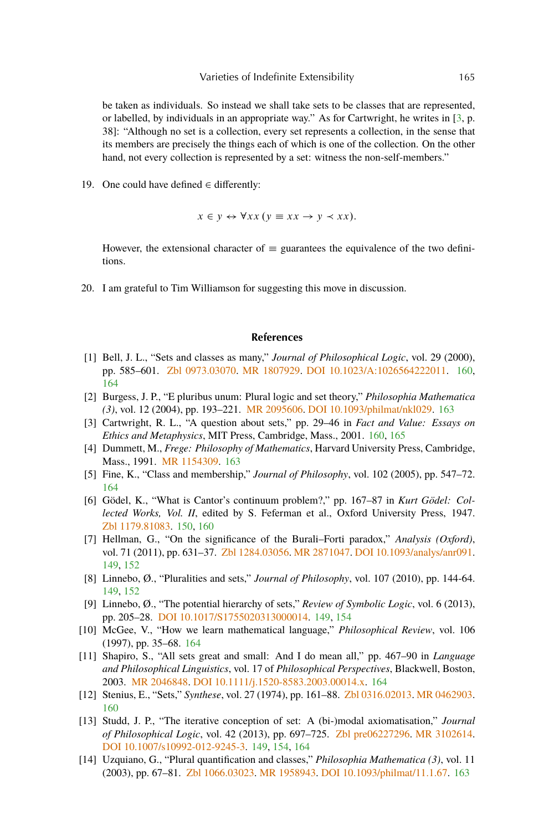<span id="page-18-0"></span>be taken as individuals. So instead we shall take sets to be classes that are represented, or labelled, by individuals in an appropriate way." As for Cartwright, he writes in [3, p. 38]: "Although no set is a collection, every set represents a collection, in the sense that its members are precisely the things each of which is one of the collection. On the other hand, not every collection is represented by a set: witness the non-self-members."

19. One could have defined  $\in$  differently:

$$
x \in y \leftrightarrow \forall xx \ (y \equiv xx \rightarrow y \prec xx).
$$

However, the extensional character of  $\equiv$  guarantees the equivalence of the two definitions.

20. I am grateful to Tim Williamson for suggesting this move in discussion.

#### **References**

- [1] Bell, J. L., "Sets and classes as many," *Journal of Philosophical Logic*, vol. 29 (2000), pp. 585–601. [Zbl 0973.03070.](http://www.emis.de/cgi-bin/MATH-item?0973.03070) [MR 1807929.](http://www.ams.org/mathscinet-getitem?mr=1807929) [DOI 10.1023/A:1026564222011.](http://dx.doi.org/10.1023/A:1026564222011) [160,](#page-13-0) [164](#page-17-0)
- [2] Burgess, J. P., "E pluribus unum: Plural logic and set theory," *Philosophia Mathematica (3)*, vol. 12 (2004), pp. 193–221. [MR 2095606.](http://www.ams.org/mathscinet-getitem?mr=2095606) [DOI 10.1093/philmat/nkl029.](http://dx.doi.org/10.1093/philmat/nkl029) [163](#page-16-0)
- [3] Cartwright, R. L., "A question about sets," pp. 29–46 in *Fact and Value: Essays on Ethics and Metaphysics*, MIT Press, Cambridge, Mass., 2001. [160,](#page-13-0) 165
- [4] Dummett, M., *Frege: Philosophy of Mathematics*, Harvard University Press, Cambridge, Mass., 1991. [MR 1154309.](http://www.ams.org/mathscinet-getitem?mr=1154309) [163](#page-16-0)
- [5] Fine, K., "Class and membership," *Journal of Philosophy*, vol. 102 (2005), pp. 547–72. [164](#page-17-0)
- [6] Gödel, K., "What is Cantor's continuum problem?," pp. 167–87 in *Kurt Gödel: Collected Works, Vol. II*, edited by S. Feferman et al., Oxford University Press, 1947. [Zbl 1179.81083.](http://www.emis.de/cgi-bin/MATH-item?1179.81083) [150,](#page-3-0) [160](#page-13-0)
- [7] Hellman, G., "On the significance of the Burali–Forti paradox," *Analysis (Oxford)*, vol. 71 (2011), pp. 631–37. [Zbl 1284.03056.](http://www.emis.de/cgi-bin/MATH-item?1284.03056) [MR 2871047.](http://www.ams.org/mathscinet-getitem?mr=2871047) [DOI 10.1093/analys/anr091.](http://dx.doi.org/10.1093/analys/anr091) [149,](#page-2-0) [152](#page-5-0)
- [8] Linnebo, Ø., "Pluralities and sets," *Journal of Philosophy*, vol. 107 (2010), pp. 144-64. [149,](#page-2-0) [152](#page-5-0)
- [9] Linnebo, Ø., "The potential hierarchy of sets," *Review of Symbolic Logic*, vol. 6 (2013), pp. 205–28. [DOI 10.1017/S1755020313000014.](http://dx.doi.org/10.1017/S1755020313000014) [149,](#page-2-0) [154](#page-7-0)
- [10] McGee, V., "How we learn mathematical language," *Philosophical Review*, vol. 106 (1997), pp. 35–68. [164](#page-17-0)
- [11] Shapiro, S., "All sets great and small: And I do mean all," pp. 467–90 in *Language and Philosophical Linguistics*, vol. 17 of *Philosophical Perspectives*, Blackwell, Boston, 2003. [MR 2046848.](http://www.ams.org/mathscinet-getitem?mr=2046848) [DOI 10.1111/j.1520-8583.2003.00014.x.](http://dx.doi.org/10.1111/j.1520-8583.2003.00014.x) [164](#page-17-0)
- [12] Stenius, E., "Sets," *Synthese*, vol. 27 (1974), pp. 161–88. [Zbl 0316.02013.](http://www.emis.de/cgi-bin/MATH-item?0316.02013) [MR 0462903.](http://www.ams.org/mathscinet-getitem?mr=0462903) [160](#page-13-0)
- [13] Studd, J. P., "The iterative conception of set: A (bi-)modal axiomatisation," *Journal of Philosophical Logic*, vol. 42 (2013), pp. 697–725. [Zbl pre06227296.](http://www.emis.de/cgi-bin/MATH-item?pre06227296) [MR 3102614.](http://www.ams.org/mathscinet-getitem?mr=3102614) [DOI 10.1007/s10992-012-9245-3.](http://dx.doi.org/10.1007/s10992-012-9245-3) [149,](#page-2-0) [154,](#page-7-0) [164](#page-17-0)
- [14] Uzquiano, G., "Plural quantification and classes," *Philosophia Mathematica (3)*, vol. 11 (2003), pp. 67–81. [Zbl 1066.03023.](http://www.emis.de/cgi-bin/MATH-item?1066.03023) [MR 1958943.](http://www.ams.org/mathscinet-getitem?mr=1958943) [DOI 10.1093/philmat/11.1.67.](http://dx.doi.org/10.1093/philmat/11.1.67) [163](#page-16-0)